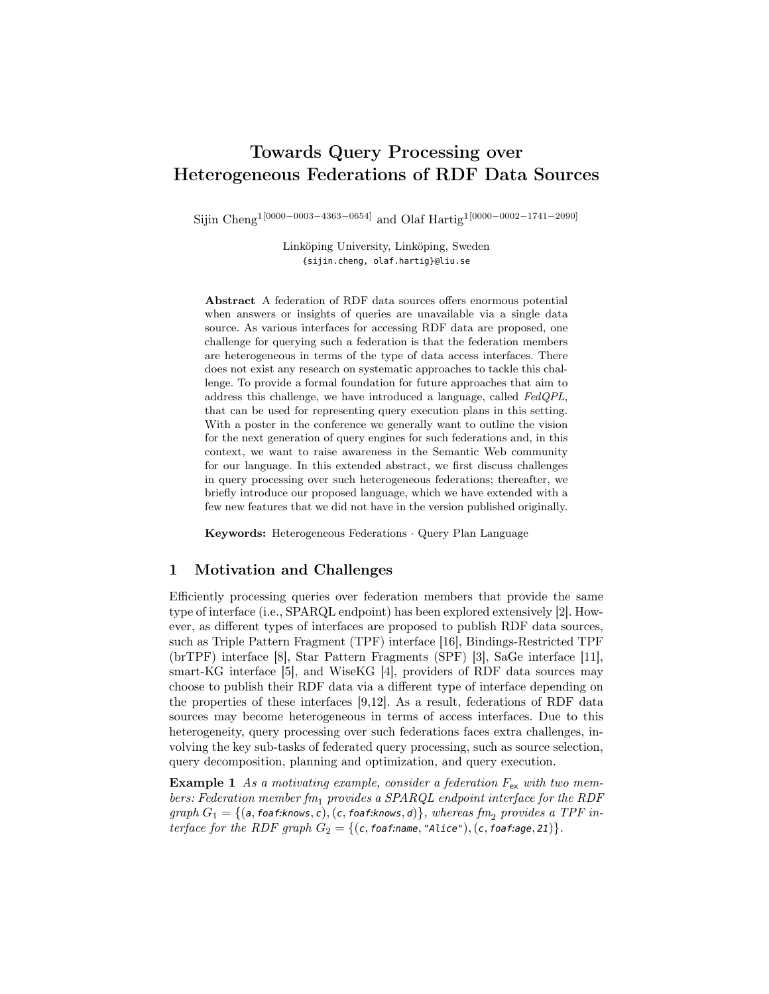# Towards Query Processing over Heterogeneous Federations of RDF Data Sources

Sijin Cheng1[0000−0003−4363−0654] and Olaf Hartig1[0000−0002−1741−2090]

Linköping University, Linköping, Sweden {sijin.cheng, olaf.hartig}@liu.se

Abstract A federation of RDF data sources offers enormous potential when answers or insights of queries are unavailable via a single data source. As various interfaces for accessing RDF data are proposed, one challenge for querying such a federation is that the federation members are heterogeneous in terms of the type of data access interfaces. There does not exist any research on systematic approaches to tackle this challenge. To provide a formal foundation for future approaches that aim to address this challenge, we have introduced a language, called *FedQPL*, that can be used for representing query execution plans in this setting. With a poster in the conference we generally want to outline the vision for the next generation of query engines for such federations and, in this context, we want to raise awareness in the Semantic Web community for our language. In this extended abstract, we first discuss challenges in query processing over such heterogeneous federations; thereafter, we briefly introduce our proposed language, which we have extended with a few new features that we did not have in the version published originally.

Keywords: Heterogeneous Federations *·* Query Plan Language

### 1 Motivation and Challenges

Efficiently processing queries over federation members that provide the same type of interface (i.e., SPARQL endpoint) has been explored extensively [\[2](#page-4-0)]. However, as different types of interfaces are proposed to publish RDF data sources, such as Triple Pattern Fragment (TPF) interface [[16\]](#page-4-1), Bindings-Restricted TPF (brTPF) interface [[8\]](#page-4-2), Star Pattern Fragments (SPF) [\[3\]](#page-4-3), SaGe interface [\[11](#page-4-4)], smart-KG interface [[5\]](#page-4-5), and WiseKG [[4\]](#page-4-6), providers of RDF data sources may choose to publish their RDF data via a different type of interface depending on the properties of these interfaces [[9,](#page-4-7)[12](#page-4-8)]. As a result, federations of RDF data sources may become heterogeneous in terms of access interfaces. Due to this heterogeneity, query processing over such federations faces extra challenges, involving the key sub-tasks of federated query processing, such as source selection, query decomposition, planning and optimization, and query execution.

<span id="page-0-1"></span><span id="page-0-0"></span>Example 1 *As a motivating example, consider a federation F*ex *with two members: Federation member fm*<sup>1</sup> *provides a SPARQL endpoint interface for the RDF* graph  $G_1 = \{(a, \text{foaf:knows}, c), (c, \text{foaf:knows}, d)\},$  whereas  $fm_2$  provides a TPF in*terface for the RDF graph*  $G_2 = \{(c, \text{foaf}:\text{name}, \text{``Alice''}), (c, \text{foaf}:\text{age}, 21)\}.$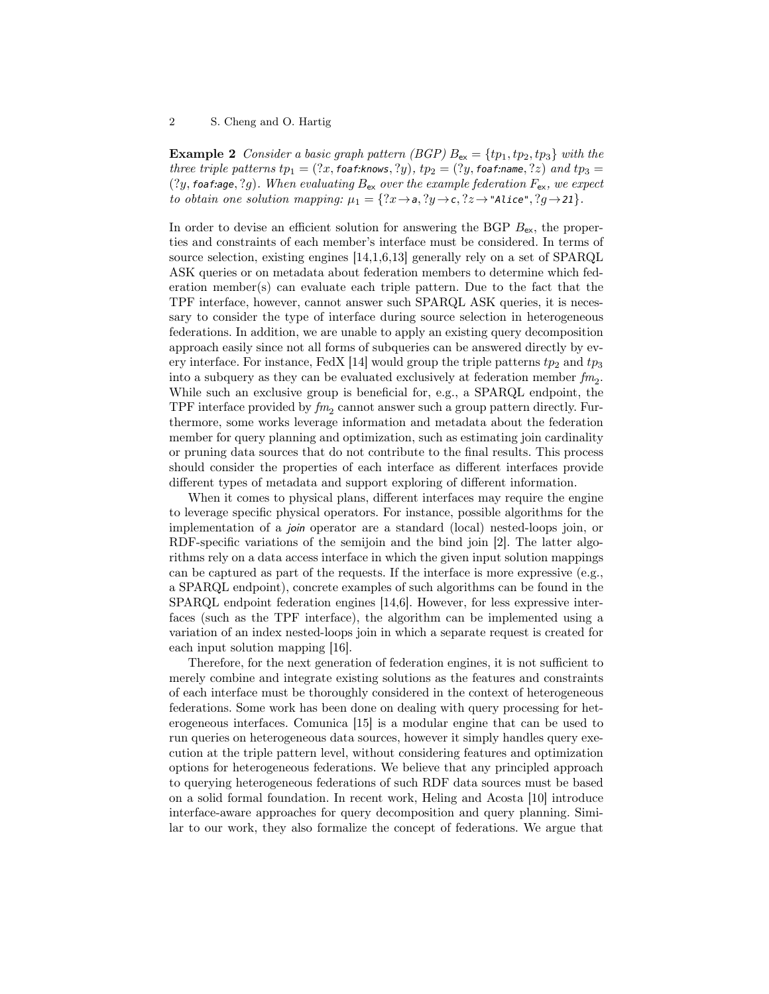#### 2 S. Cheng and O. Hartig

**Example 2** *Consider a basic graph pattern (BGP)*  $B_{\text{ex}} = \{tp_1, tp_2, tp_3\}$  *with the three triple* patterns  $tp_1 = (?x, \text{foaf:knows}, ?y)$ ,  $tp_2 = (?y, \text{foaf:name}, ?z)$  and  $tp_3 =$ (?*y*, *foaf:age*, ?*g*). When evaluating  $B_{\text{ex}}$  *over the example federation*  $F_{\text{ex}}$ *, we expect to obtain one solution mapping:*  $\mu_1 = \{?x \rightarrow a, ?y \rightarrow c, ?z \rightarrow "Alice", ?g \rightarrow 21\}$ *.* 

In order to devise an efficient solution for answering the BGP  $B_{ex}$ , the properties and constraints of each member's interface must be considered. In terms of source selection, existing engines [[14,](#page-4-9)[1,](#page-4-10)[6](#page-4-11)[,13](#page-4-12)] generally rely on a set of SPARQL ASK queries or on metadata about federation members to determine which federation member(s) can evaluate each triple pattern. Due to the fact that the TPF interface, however, cannot answer such SPARQL ASK queries, it is necessary to consider the type of interface during source selection in heterogeneous federations. In addition, we are unable to apply an existing query decomposition approach easily since not all forms of subqueries can be answered directly by every interface. For instance, FedX  $[14]$  $[14]$  would group the triple patterns  $tp_2$  and  $tp_3$ into a subquery as they can be evaluated exclusively at federation member  $fm_2$ . While such an exclusive group is beneficial for, e.g., a SPARQL endpoint, the TPF interface provided by  $fm_2$  cannot answer such a group pattern directly. Furthermore, some works leverage information and metadata about the federation member for query planning and optimization, such as estimating join cardinality or pruning data sources that do not contribute to the final results. This process should consider the properties of each interface as different interfaces provide different types of metadata and support exploring of different information.

When it comes to physical plans, different interfaces may require the engine to leverage specific physical operators. For instance, possible algorithms for the implementation of a *join* operator are a standard (local) nested-loops join, or RDF-specific variations of the semijoin and the bind join [[2\]](#page-4-0). The latter algorithms rely on a data access interface in which the given input solution mappings can be captured as part of the requests. If the interface is more expressive (e.g., a SPARQL endpoint), concrete examples of such algorithms can be found in the SPARQL endpoint federation engines [\[14](#page-4-9)[,6](#page-4-11)]. However, for less expressive interfaces (such as the TPF interface), the algorithm can be implemented using a variation of an index nested-loops join in which a separate request is created for each input solution mapping [\[16](#page-4-1)].

Therefore, for the next generation of federation engines, it is not sufficient to merely combine and integrate existing solutions as the features and constraints of each interface must be thoroughly considered in the context of heterogeneous federations. Some work has been done on dealing with query processing for heterogeneous interfaces. Comunica [\[15](#page-4-13)] is a modular engine that can be used to run queries on heterogeneous data sources, however it simply handles query execution at the triple pattern level, without considering features and optimization options for heterogeneous federations. We believe that any principled approach to querying heterogeneous federations of such RDF data sources must be based on a solid formal foundation. In recent work, Heling and Acosta [\[10](#page-4-14)] introduce interface-aware approaches for query decomposition and query planning. Similar to our work, they also formalize the concept of federations. We argue that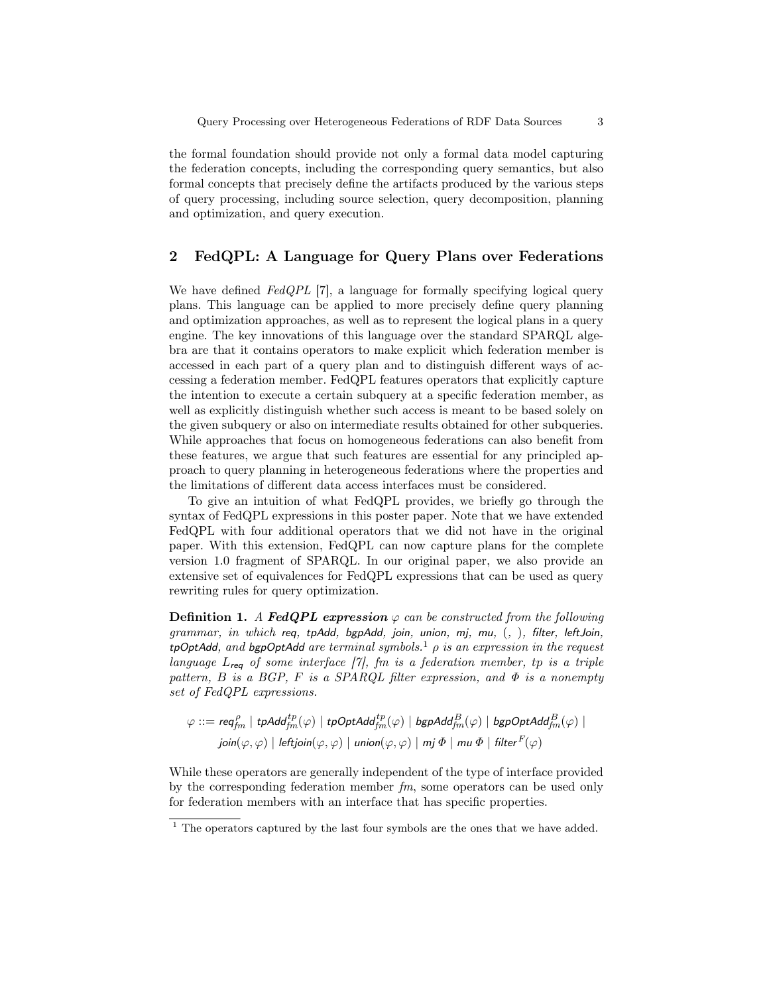the formal foundation should provide not only a formal data model capturing the federation concepts, including the corresponding query semantics, but also formal concepts that precisely define the artifacts produced by the various steps of query processing, including source selection, query decomposition, planning and optimization, and query execution.

## 2 FedQPL: A Language for Query Plans over Federations

We have defined *FedQPL* [\[7](#page-4-15)], a language for formally specifying logical query plans. This language can be applied to more precisely define query planning and optimization approaches, as well as to represent the logical plans in a query engine. The key innovations of this language over the standard SPARQL algebra are that it contains operators to make explicit which federation member is accessed in each part of a query plan and to distinguish different ways of accessing a federation member. FedQPL features operators that explicitly capture the intention to execute a certain subquery at a specific federation member, as well as explicitly distinguish whether such access is meant to be based solely on the given subquery or also on intermediate results obtained for other subqueries. While approaches that focus on homogeneous federations can also benefit from these features, we argue that such features are essential for any principled approach to query planning in heterogeneous federations where the properties and the limitations of different data access interfaces must be considered.

To give an intuition of what FedQPL provides, we briefly go through the syntax of FedQPL expressions in this poster paper. Note that we have extended FedQPL with four additional operators that we did not have in the original paper. With this extension, FedQPL can now capture plans for the complete version 1.0 fragment of SPARQL. In our original paper, we also provide an extensive set of equivalences for FedQPL expressions that can be used as query rewriting rules for query optimization.

**Definition 1.** *A FedQPL**expression*  $\varphi$  *can be constructed from the following* grammar, in which reg, tpAdd, bgpAdd, join, union, mj, mu,  $($ ,  $)$ , filter, leftJoin, *tpOptAdd, and bgpOptAdd are terminal symbols.* [1](#page-2-0) ρ *is an expression in the request language Lreq of some interface [[7\]](#page-4-15), fm is a federation member, tp is a triple pattern,*  $B$  *is*  $a$   $BGP$ ,  $F$  *is*  $a$  *SPARQL* filter *expression,* and  $\Phi$  *is*  $a$  *nonempty set of FedQPL expressions.*

$$
\varphi ::= \mathit{req}_{fm}^\rho \mid \mathit{tpAdd}_{fm}^{tp}(\varphi) \mid \mathit{tpOptAdd}_{fm}^{tp}(\varphi) \mid \mathit{bgpAdd}_{fm}^B(\varphi) \mid \mathit{bgpOptAdd}_{fm}^B(\varphi) \mid \mathit{join}(\varphi, \varphi) \mid \mathit{leftjoin}(\varphi, \varphi) \mid \mathit{union}(\varphi, \varphi) \mid \mathit{mj} \Phi \mid \mathit{mu} \Phi \mid \mathit{filter}^F(\varphi)
$$

While these operators are generally independent of the type of interface provided by the corresponding federation member *fm*, some operators can be used only for federation members with an interface that has specific properties.

<span id="page-2-0"></span> $^{\rm 1}$  The operators captured by the last four symbols are the ones that we have added.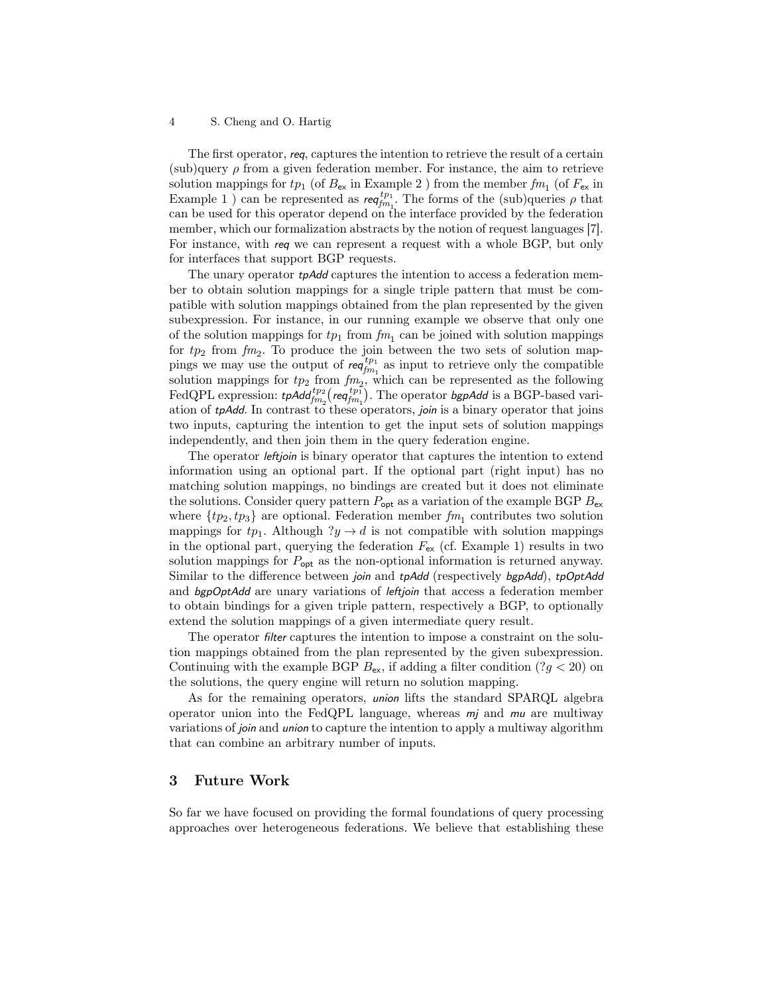#### 4 S. Cheng and O. Hartig

The first operator, *req*, captures the intention to retrieve the result of a certain  $(\text{sub})$ query  $\rho$  from a given federation member. For instance, the aim to retrieve solution mappings for  $tp_1$  (of  $B_{ex}$  in Example [2](#page-0-0)) from the member  $fm_1$  (of  $F_{ex}$  in Example [1](#page-0-1)) can be represented as  $req^{tp_1}_{f_{m_1}}$ . The forms of the (sub)queries  $\rho$  that can be used for this operator depend on the interface provided by the federation member, which our formalization abstracts by the notion of request languages [\[7](#page-4-15)]. For instance, with *req* we can represent a request with a whole BGP, but only for interfaces that support BGP requests.

The unary operator  $t \rho \mathcal{A} d\mathcal{A}$  captures the intention to access a federation member to obtain solution mappings for a single triple pattern that must be compatible with solution mappings obtained from the plan represented by the given subexpression. For instance, in our running example we observe that only one of the solution mappings for  $tp_1$  from  $fm_1$  can be joined with solution mappings for  $tp_2$  from  $fm_2$ . To produce the join between the two sets of solution mappings we may use the output of  $\text{req}_{fm_1}^{tp_1}$  as input to retrieve only the compatible solution mappings for  $tp_2$  from  $fm_2$ , which can be represented as the following FedQPL expression:  $t$ *pAdd* $f_{m_2}^{tp_2}$  ( $r$ eq $f_{m_1}^{tp_1}$ ). The operator *bgpAdd* is a BGP-based variation of *tpAdd*. In contrast to these operators, *join* is a binary operator that joins two inputs, capturing the intention to get the input sets of solution mappings independently, and then join them in the query federation engine.

The operator *leftjoin* is binary operator that captures the intention to extend information using an optional part. If the optional part (right input) has no matching solution mappings, no bindings are created but it does not eliminate the solutions. Consider query pattern  $P_{\text{opt}}$  as a variation of the example BGP  $B_{\text{ex}}$ where  $\{tp_2, tp_3\}$  are optional. Federation member  $fm_1$  contributes two solution mappings for  $tp_1$ . Although  $?y \rightarrow d$  is not compatible with solution mappings in the optional part, querying the federation  $F_{\rm ex}$  (cf. Example [1](#page-0-1)) results in two solution mappings for  $P_{\text{opt}}$  as the non-optional information is returned anyway. Similar to the difference between *join* and *tpAdd* (respectively *bgpAdd*), *tpOptAdd* and *bgpOptAdd* are unary variations of *leftjoin* that access a federation member to obtain bindings for a given triple pattern, respectively a BGP, to optionally extend the solution mappings of a given intermediate query result.

The operator *filter* captures the intention to impose a constraint on the solution mappings obtained from the plan represented by the given subexpression. Continuing with the example BGP  $B_{\text{ex}}$ , if adding a filter condition (?*g* < 20) on the solutions, the query engine will return no solution mapping.

As for the remaining operators, *union* lifts the standard SPARQL algebra operator union into the FedQPL language, whereas *mj* and *mu* are multiway variations of *join* and *union* to capture the intention to apply a multiway algorithm that can combine an arbitrary number of inputs.

#### 3 Future Work

So far we have focused on providing the formal foundations of query processing approaches over heterogeneous federations. We believe that establishing these